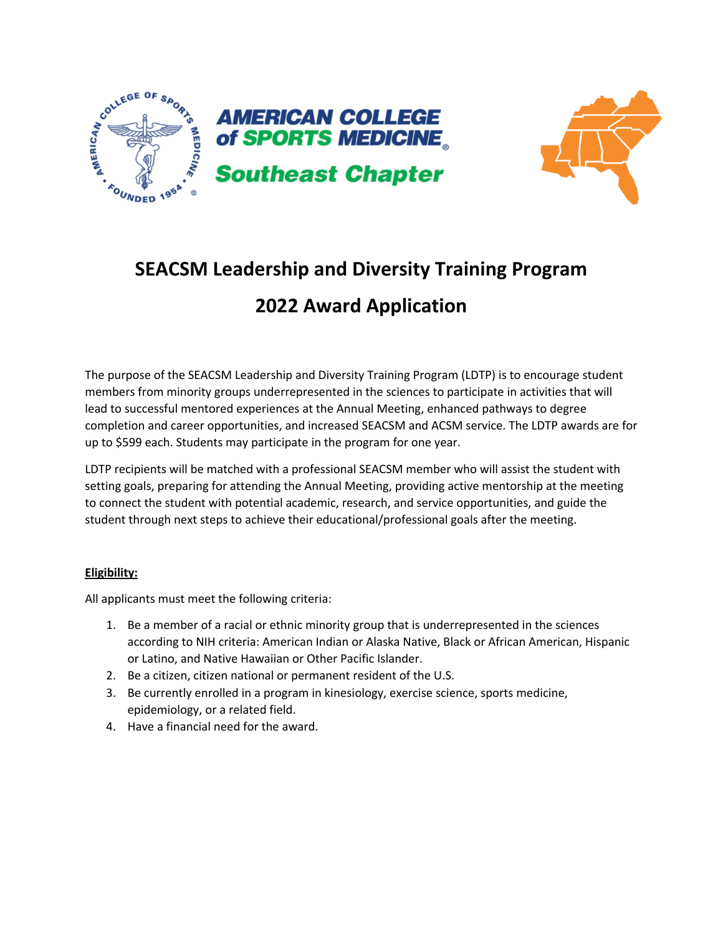



# **SEACSM Leadership and Diversity Training Program**

# **2022 Award Application**

The purpose of the SEACSM Leadership and Diversity Training Program (LDTP) is to encourage student members from minority groups underrepresented in the sciences to participate in activities that will lead to successful mentored experiences at the Annual Meeting, enhanced pathways to degree completion and career opportunities, and increased SEACSM and ACSM service. The LDTP awards are for up to \$599 each. Students may participate in the program for one year.

LDTP recipients will be matched with a professional SEACSM member who will assist the student with setting goals, preparing for attending the Annual Meeting, providing active mentorship at the meeting to connect the student with potential academic, research, and service opportunities, and guide the student through next steps to achieve their educational/professional goals after the meeting.

### **Eligibility:**

All applicants must meet the following criteria:

- 1. Be a member of a racial or ethnic minority group that is underrepresented in the sciences according to NIH criteria: American Indian or Alaska Native, Black or African American, Hispanic or Latino, and Native Hawaiian or Other Pacific Islander.
- 2. Be a citizen, citizen national or permanent resident of the U.S.
- 3. Be currently enrolled in a program in kinesiology, exercise science, sports medicine, epidemiology, or a related field.
- 4. Have a financial need for the award.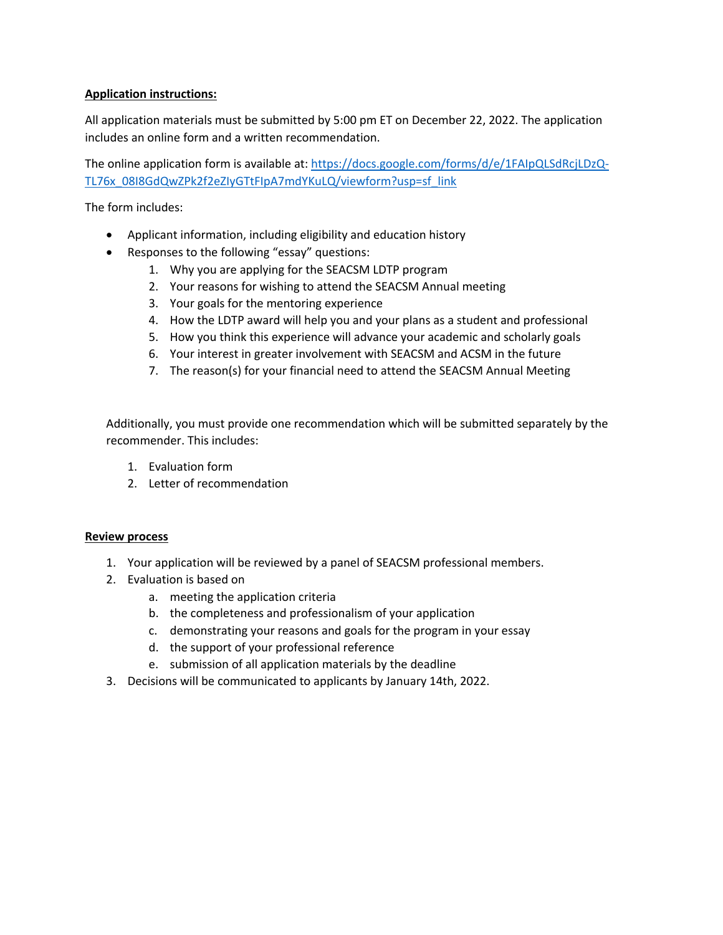#### **Application instructions:**

All application materials must be submitted by 5:00 pm ET on December 22, 2022. The application includes an online form and a written recommendation.

The online application form is available at: https://docs.google.com/forms/d/e/1FAIpQLSdRcjLDzQ-TL76x\_08I8GdQwZPk2f2eZIyGTtFIpA7mdYKuLQ/viewform?usp=sf\_link

The form includes:

- Applicant information, including eligibility and education history
- Responses to the following "essay" questions:
	- 1. Why you are applying for the SEACSM LDTP program
	- 2. Your reasons for wishing to attend the SEACSM Annual meeting
	- 3. Your goals for the mentoring experience
	- 4. How the LDTP award will help you and your plans as a student and professional
	- 5. How you think this experience will advance your academic and scholarly goals
	- 6. Your interest in greater involvement with SEACSM and ACSM in the future
	- 7. The reason(s) for your financial need to attend the SEACSM Annual Meeting

Additionally, you must provide one recommendation which will be submitted separately by the recommender. This includes:

- 1. Evaluation form
- 2. Letter of recommendation

#### **Review process**

- 1. Your application will be reviewed by a panel of SEACSM professional members.
- 2. Evaluation is based on
	- a. meeting the application criteria
	- b. the completeness and professionalism of your application
	- c. demonstrating your reasons and goals for the program in your essay
	- d. the support of your professional reference
	- e. submission of all application materials by the deadline
- 3. Decisions will be communicated to applicants by January 14th, 2022.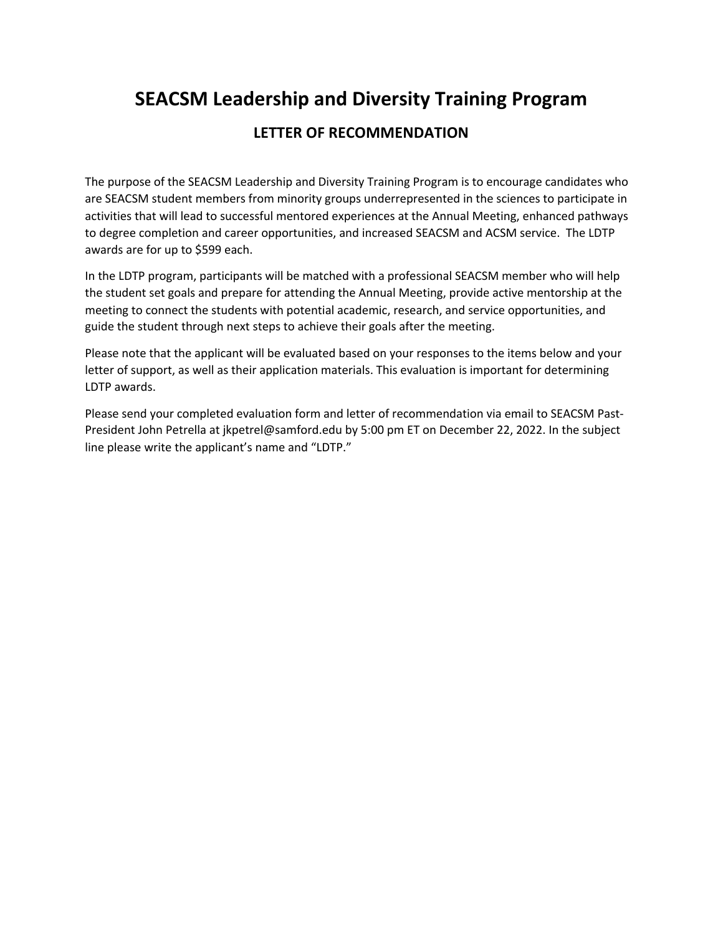# **SEACSM Leadership and Diversity Training Program**

### **LETTER OF RECOMMENDATION**

The purpose of the SEACSM Leadership and Diversity Training Program is to encourage candidates who are SEACSM student members from minority groups underrepresented in the sciences to participate in activities that will lead to successful mentored experiences at the Annual Meeting, enhanced pathways to degree completion and career opportunities, and increased SEACSM and ACSM service. The LDTP awards are for up to \$599 each.

In the LDTP program, participants will be matched with a professional SEACSM member who will help the student set goals and prepare for attending the Annual Meeting, provide active mentorship at the meeting to connect the students with potential academic, research, and service opportunities, and guide the student through next steps to achieve their goals after the meeting.

Please note that the applicant will be evaluated based on your responses to the items below and your letter of support, as well as their application materials. This evaluation is important for determining LDTP awards.

Please send your completed evaluation form and letter of recommendation via email to SEACSM Past-President John Petrella at jkpetrel@samford.edu by 5:00 pm ET on December 22, 2022. In the subject line please write the applicant's name and "LDTP."